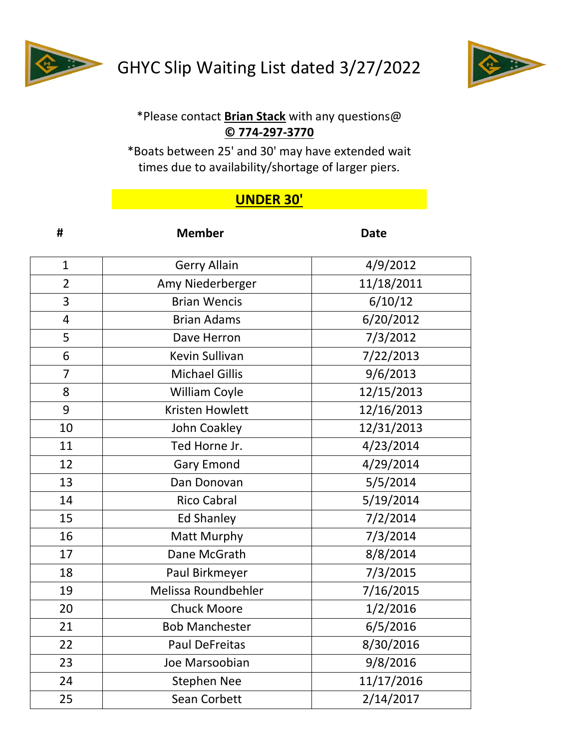



## \*Please contact **Brian Stack** with any questions@ **© 774-297-3770**

\*Boats between 25' and 30' may have extended wait times due to availability/shortage of larger piers.

## **UNDER 30'**

| #              | <b>Member</b>                     | <b>Date</b> |  |
|----------------|-----------------------------------|-------------|--|
| $\mathbf{1}$   | <b>Gerry Allain</b>               | 4/9/2012    |  |
| $\overline{2}$ | Amy Niederberger                  | 11/18/2011  |  |
| 3              | <b>Brian Wencis</b>               | 6/10/12     |  |
| $\overline{4}$ | <b>Brian Adams</b>                | 6/20/2012   |  |
| 5              | Dave Herron                       | 7/3/2012    |  |
| 6              | Kevin Sullivan                    | 7/22/2013   |  |
| $\overline{7}$ | <b>Michael Gillis</b>             | 9/6/2013    |  |
| 8              | 12/15/2013<br>William Coyle       |             |  |
| 9              | 12/16/2013<br>Kristen Howlett     |             |  |
| 10             | John Coakley                      | 12/31/2013  |  |
| 11             | Ted Horne Jr.                     | 4/23/2014   |  |
| 12             | <b>Gary Emond</b>                 | 4/29/2014   |  |
| 13             | Dan Donovan                       | 5/5/2014    |  |
| 14             | <b>Rico Cabral</b>                | 5/19/2014   |  |
| 15             | <b>Ed Shanley</b><br>7/2/2014     |             |  |
| 16             | Matt Murphy                       | 7/3/2014    |  |
| 17             | Dane McGrath<br>8/8/2014          |             |  |
| 18             | 7/3/2015<br>Paul Birkmeyer        |             |  |
| 19             | Melissa Roundbehler<br>7/16/2015  |             |  |
| 20             | <b>Chuck Moore</b><br>1/2/2016    |             |  |
| 21             | <b>Bob Manchester</b><br>6/5/2016 |             |  |
| 22             | 8/30/2016<br>Paul DeFreitas       |             |  |
| 23             | Joe Marsoobian                    | 9/8/2016    |  |
| 24             | 11/17/2016<br><b>Stephen Nee</b>  |             |  |
| 25             | <b>Sean Corbett</b><br>2/14/2017  |             |  |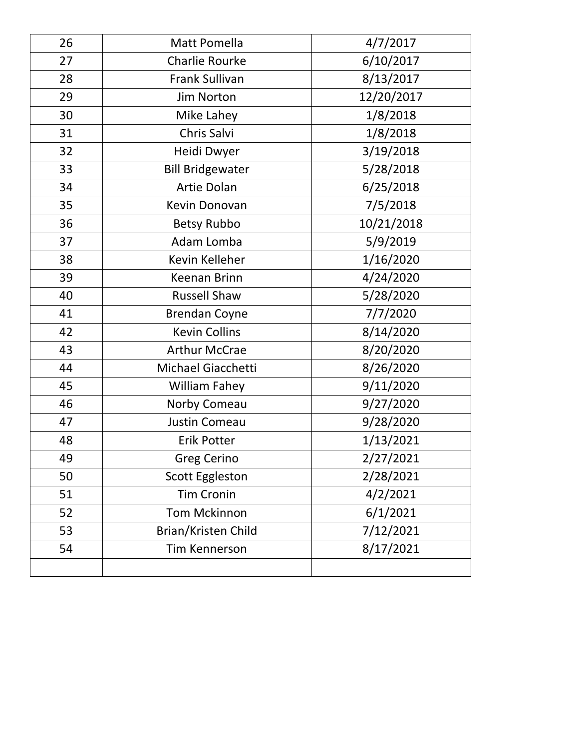| 26                         | Matt Pomella<br>4/7/2017         |            |
|----------------------------|----------------------------------|------------|
| 27                         | Charlie Rourke                   | 6/10/2017  |
| 28                         | Frank Sullivan                   | 8/13/2017  |
| 29                         | Jim Norton                       | 12/20/2017 |
| 30                         | Mike Lahey                       | 1/8/2018   |
| 31                         | Chris Salvi                      | 1/8/2018   |
| 32                         | Heidi Dwyer                      | 3/19/2018  |
| 33                         | <b>Bill Bridgewater</b>          | 5/28/2018  |
| 34                         | Artie Dolan                      | 6/25/2018  |
| 35                         | Kevin Donovan                    | 7/5/2018   |
| 36                         | <b>Betsy Rubbo</b>               | 10/21/2018 |
| 37                         | Adam Lomba                       | 5/9/2019   |
| 38                         | Kevin Kelleher                   | 1/16/2020  |
| 39                         | <b>Keenan Brinn</b>              | 4/24/2020  |
| 40                         | <b>Russell Shaw</b>              | 5/28/2020  |
| 41                         | <b>Brendan Coyne</b>             | 7/7/2020   |
| 42                         | <b>Kevin Collins</b>             | 8/14/2020  |
| 43                         | <b>Arthur McCrae</b>             | 8/20/2020  |
| 44                         | Michael Giacchetti               | 8/26/2020  |
| 45                         | <b>William Fahey</b>             | 9/11/2020  |
| 46                         | Norby Comeau                     | 9/27/2020  |
| 47                         | Justin Comeau                    | 9/28/2020  |
| 48                         | <b>Erik Potter</b>               | 1/13/2021  |
| 49                         | <b>Greg Cerino</b>               | 2/27/2021  |
| 50                         | <b>Scott Eggleston</b>           | 2/28/2021  |
| 51                         | 4/2/2021<br><b>Tim Cronin</b>    |            |
| 52                         | 6/1/2021<br><b>Tom Mckinnon</b>  |            |
| 53                         | 7/12/2021<br>Brian/Kristen Child |            |
| 54<br><b>Tim Kennerson</b> |                                  | 8/17/2021  |
|                            |                                  |            |